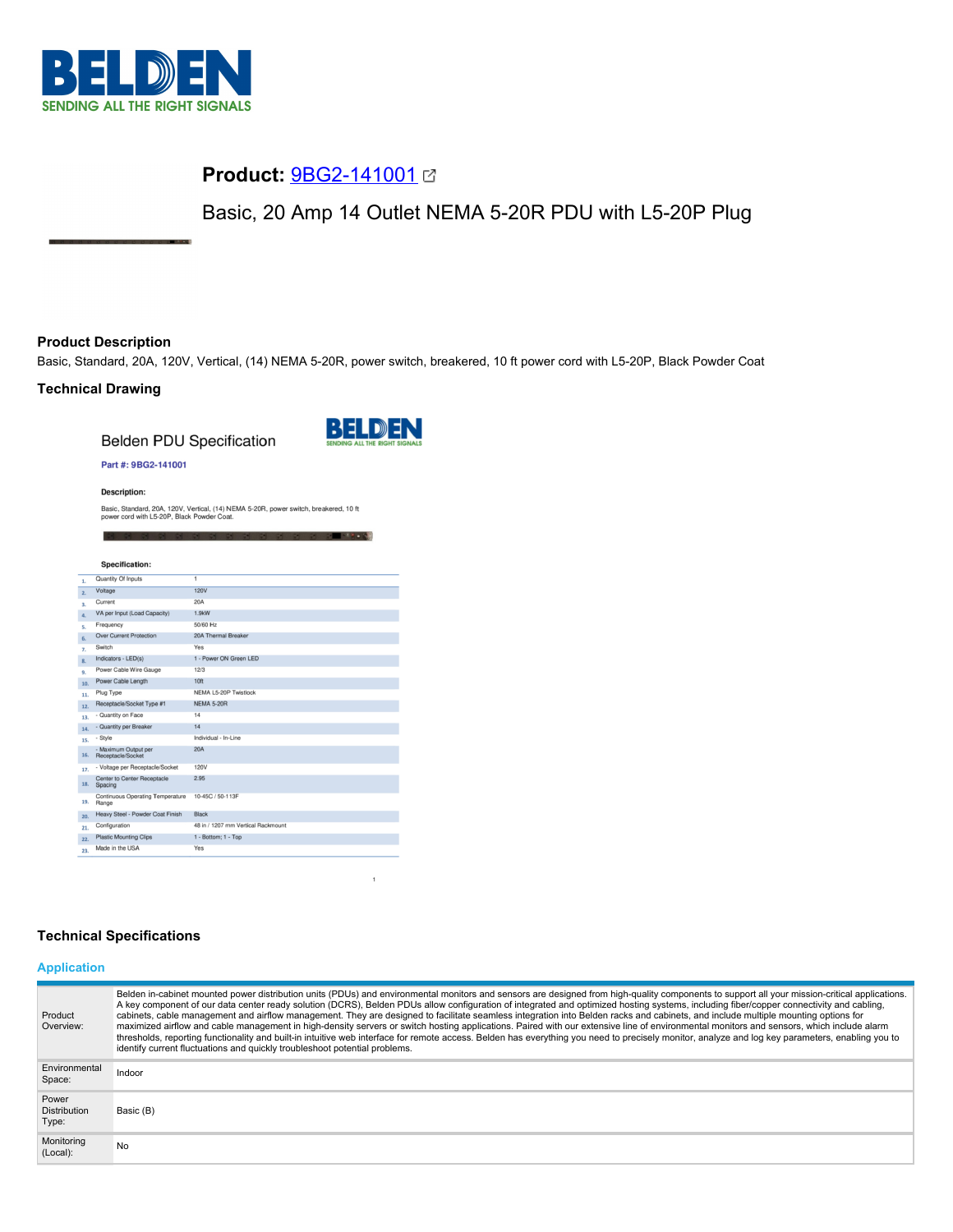

# **Product:** [9BG2-141001](https://catalog.belden.com/index.cfm?event=pd&p=PF_9BG2141001&tab=downloads)

Basic, 20 Amp 14 Outlet NEMA 5-20R PDU with L5-20P Plug

## **Product Description**

Basic, Standard, 20A, 120V, Vertical, (14) NEMA 5-20R, power switch, breakered, 10 ft power cord with L5-20P, Black Powder Coat

## **Technical Drawing**

**Belden PDU Specification** 



**AND AND A REPORT** 

#### Part #: 9BG2-141001

**Description:** 

Basic, Standard, 20A, 120V, Vertical, (14) NEMA 5-20R, power switch, breakered, 10 ft power cord with L5-20P, Black Powder Coat.

|                           | <b>Specification:</b>                     |                                    |
|---------------------------|-------------------------------------------|------------------------------------|
| 1.                        | Quantity Of Inputs                        | 1                                  |
| 2.                        | Voltage                                   | 120V                               |
| $\overline{\mathbf{3}}$ . | Current                                   | 20A                                |
| 4.                        | VA per Input (Load Capacity)              | 1.9kW                              |
| s.                        | Frequency                                 | 50/60 Hz                           |
| 6.                        | <b>Over Current Protection</b>            | 20A Thermal Breaker                |
| 7.                        | Switch                                    | Yes                                |
| 8.                        | Indicators - LED(s)                       | 1 - Power ON Green LED             |
| 9.                        | Power Cable Wire Gauge                    | 12/3                               |
| 10.                       | Power Cable Length                        | 10 <sup>ft</sup>                   |
| 11.                       | Plug Type                                 | NEMA L5-20P Twistlock              |
| 12.                       | Receptacle/Socket Type #1                 | <b>NEMA 5-20R</b>                  |
| 13.                       | - Quantity on Face                        | 14                                 |
| 14.                       | - Quantity per Breaker                    | 14                                 |
| 15.                       | - Style                                   | Individual - In-Line               |
| 16.                       | - Maximum Output per<br>Receptacle/Socket | <b>20A</b>                         |
| 17.                       | - Voltage per Receptacle/Socket           | 120V                               |
| 18.                       | Center to Center Receptacle<br>Spacing    | 2.95                               |
| 19.                       | Continuous Operating Temperature<br>Range | 10-45C / 50-113F                   |
| 20.                       | Heavy Steel - Powder Coat Finish          | <b>Black</b>                       |
| 21.                       | Configuration                             | 48 in / 1207 mm Vertical Rackmount |
| 22.                       | <b>Plastic Mounting Clips</b>             | 1 - Bottom: 1 - Top                |
| 23.                       | Made in the USA                           | Yes                                |

## **Technical Specifications**

## **Application**

| Product<br>Overview:                  | Belden in-cabinet mounted power distribution units (PDUs) and environmental monitors and sensors are designed from high-quality components to support all your mission-critical applications.<br>A key component of our data center ready solution (DCRS), Belden PDUs allow configuration of integrated and optimized hosting systems, including fiber/copper connectivity and cabling,<br>cabinets, cable management and airflow management. They are designed to facilitate seamless integration into Belden racks and cabinets, and include multiple mounting options for<br>maximized airflow and cable management in high-density servers or switch hosting applications. Paired with our extensive line of environmental monitors and sensors, which include alarm<br>thresholds, reporting functionality and built-in intuitive web interface for remote access. Belden has everything you need to precisely monitor, analyze and log key parameters, enabling you to<br>identify current fluctuations and quickly troubleshoot potential problems. |
|---------------------------------------|-------------------------------------------------------------------------------------------------------------------------------------------------------------------------------------------------------------------------------------------------------------------------------------------------------------------------------------------------------------------------------------------------------------------------------------------------------------------------------------------------------------------------------------------------------------------------------------------------------------------------------------------------------------------------------------------------------------------------------------------------------------------------------------------------------------------------------------------------------------------------------------------------------------------------------------------------------------------------------------------------------------------------------------------------------------|
| Environmental<br>Space:               | Indoor                                                                                                                                                                                                                                                                                                                                                                                                                                                                                                                                                                                                                                                                                                                                                                                                                                                                                                                                                                                                                                                      |
| Power<br><b>Distribution</b><br>Type: | Basic (B)                                                                                                                                                                                                                                                                                                                                                                                                                                                                                                                                                                                                                                                                                                                                                                                                                                                                                                                                                                                                                                                   |
| Monitoring<br>(Local):                | No.                                                                                                                                                                                                                                                                                                                                                                                                                                                                                                                                                                                                                                                                                                                                                                                                                                                                                                                                                                                                                                                         |